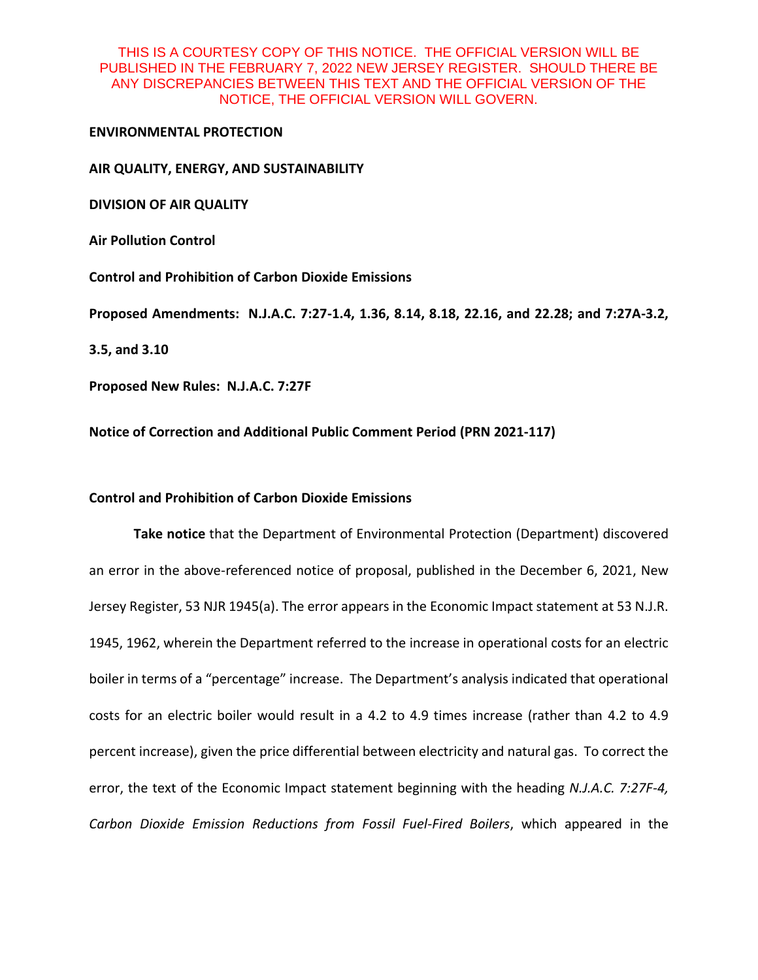#### **ENVIRONMENTAL PROTECTION**

#### **AIR QUALITY, ENERGY, AND SUSTAINABILITY**

**DIVISION OF AIR QUALITY**

**Air Pollution Control**

**Control and Prohibition of Carbon Dioxide Emissions**

**Proposed Amendments: N.J.A.C. 7:27-1.4, 1.36, 8.14, 8.18, 22.16, and 22.28; and 7:27A-3.2,** 

**3.5, and 3.10**

**Proposed New Rules: N.J.A.C. 7:27F** 

**Notice of Correction and Additional Public Comment Period (PRN 2021-117)**

# **Control and Prohibition of Carbon Dioxide Emissions**

**Take notice** that the Department of Environmental Protection (Department) discovered an error in the above-referenced notice of proposal, published in the December 6, 2021, New Jersey Register, 53 NJR 1945(a). The error appears in the Economic Impact statement at 53 N.J.R. 1945, 1962, wherein the Department referred to the increase in operational costs for an electric boiler in terms of a "percentage" increase. The Department's analysis indicated that operational costs for an electric boiler would result in a 4.2 to 4.9 times increase (rather than 4.2 to 4.9 percent increase), given the price differential between electricity and natural gas. To correct the error, the text of the Economic Impact statement beginning with the heading *N.J.A.C. 7:27F-4, Carbon Dioxide Emission Reductions from Fossil Fuel-Fired Boilers*, which appeared in the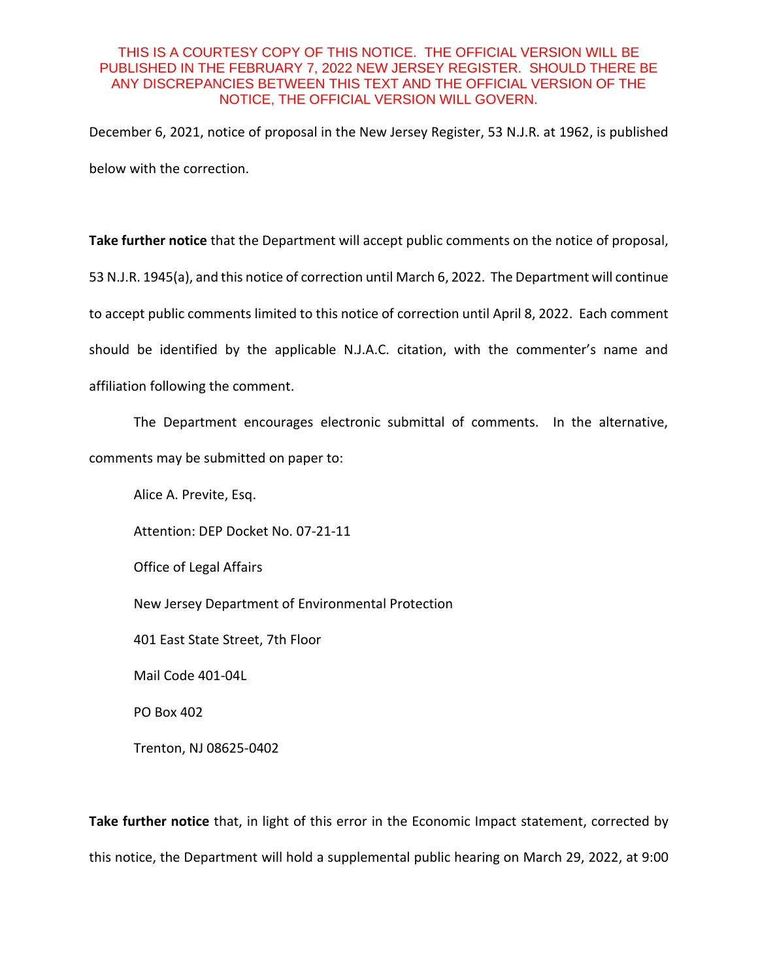December 6, 2021, notice of proposal in the New Jersey Register, 53 N.J.R. at 1962, is published below with the correction.

**Take further notice** that the Department will accept public comments on the notice of proposal, 53 N.J.R. 1945(a), and this notice of correction until March 6, 2022. The Department will continue to accept public comments limited to this notice of correction until April 8, 2022. Each comment should be identified by the applicable N.J.A.C. citation, with the commenter's name and affiliation following the comment.

The Department encourages electronic submittal of comments. In the alternative,

comments may be submitted on paper to:

Alice A. Previte, Esq. Attention: DEP Docket No. 07-21-11 Office of Legal Affairs New Jersey Department of Environmental Protection 401 East State Street, 7th Floor Mail Code 401-04L PO Box 402

Trenton, NJ 08625-0402

**Take further notice** that, in light of this error in the Economic Impact statement, corrected by this notice, the Department will hold a supplemental public hearing on March 29, 2022, at 9:00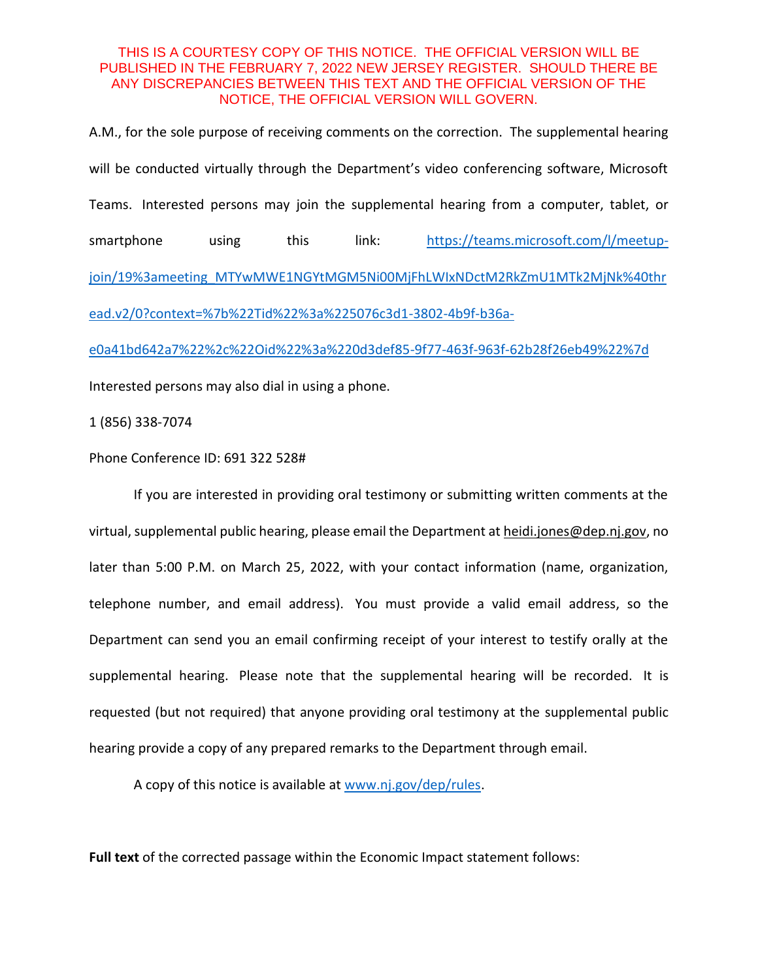A.M., for the sole purpose of receiving comments on the correction. The supplemental hearing will be conducted virtually through the Department's video conferencing software, Microsoft Teams. Interested persons may join the supplemental hearing from a computer, tablet, or smartphone using this link: [https://teams.microsoft.com/l/meetup](https://teams.microsoft.com/l/meetup-join/19%3ameeting_MTYwMWE1NGYtMGM5Ni00MjFhLWIxNDctM2RkZmU1MTk2MjNk%40thread.v2/0?context=%7b%22Tid%22%3a%225076c3d1-3802-4b9f-b36a-e0a41bd642a7%22%2c%22Oid%22%3a%220d3def85-9f77-463f-963f-62b28f26eb49%22%7d)[join/19%3ameeting\\_MTYwMWE1NGYtMGM5Ni00MjFhLWIxNDctM2RkZmU1MTk2MjNk%40thr](https://teams.microsoft.com/l/meetup-join/19%3ameeting_MTYwMWE1NGYtMGM5Ni00MjFhLWIxNDctM2RkZmU1MTk2MjNk%40thread.v2/0?context=%7b%22Tid%22%3a%225076c3d1-3802-4b9f-b36a-e0a41bd642a7%22%2c%22Oid%22%3a%220d3def85-9f77-463f-963f-62b28f26eb49%22%7d) [ead.v2/0?context=%7b%22Tid%22%3a%225076c3d1-3802-4b9f-b36a-](https://teams.microsoft.com/l/meetup-join/19%3ameeting_MTYwMWE1NGYtMGM5Ni00MjFhLWIxNDctM2RkZmU1MTk2MjNk%40thread.v2/0?context=%7b%22Tid%22%3a%225076c3d1-3802-4b9f-b36a-e0a41bd642a7%22%2c%22Oid%22%3a%220d3def85-9f77-463f-963f-62b28f26eb49%22%7d)

[e0a41bd642a7%22%2c%22Oid%22%3a%220d3def85-9f77-463f-963f-62b28f26eb49%22%7d](https://teams.microsoft.com/l/meetup-join/19%3ameeting_MTYwMWE1NGYtMGM5Ni00MjFhLWIxNDctM2RkZmU1MTk2MjNk%40thread.v2/0?context=%7b%22Tid%22%3a%225076c3d1-3802-4b9f-b36a-e0a41bd642a7%22%2c%22Oid%22%3a%220d3def85-9f77-463f-963f-62b28f26eb49%22%7d)

Interested persons may also dial in using a phone.

1 (856) 338-7074

Phone Conference ID: 691 322 528#

If you are interested in providing oral testimony or submitting written comments at the virtual, supplemental public hearing, please email the Department at heidi.jones@dep.nj.gov, no later than 5:00 P.M. on March 25, 2022, with your contact information (name, organization, telephone number, and email address). You must provide a valid email address, so the Department can send you an email confirming receipt of your interest to testify orally at the supplemental hearing. Please note that the supplemental hearing will be recorded. It is requested (but not required) that anyone providing oral testimony at the supplemental public hearing provide a copy of any prepared remarks to the Department through email.

A copy of this notice is available at [www.nj.gov/dep/rules.](http://www.nj.gov/dep/rules)

**Full text** of the corrected passage within the Economic Impact statement follows: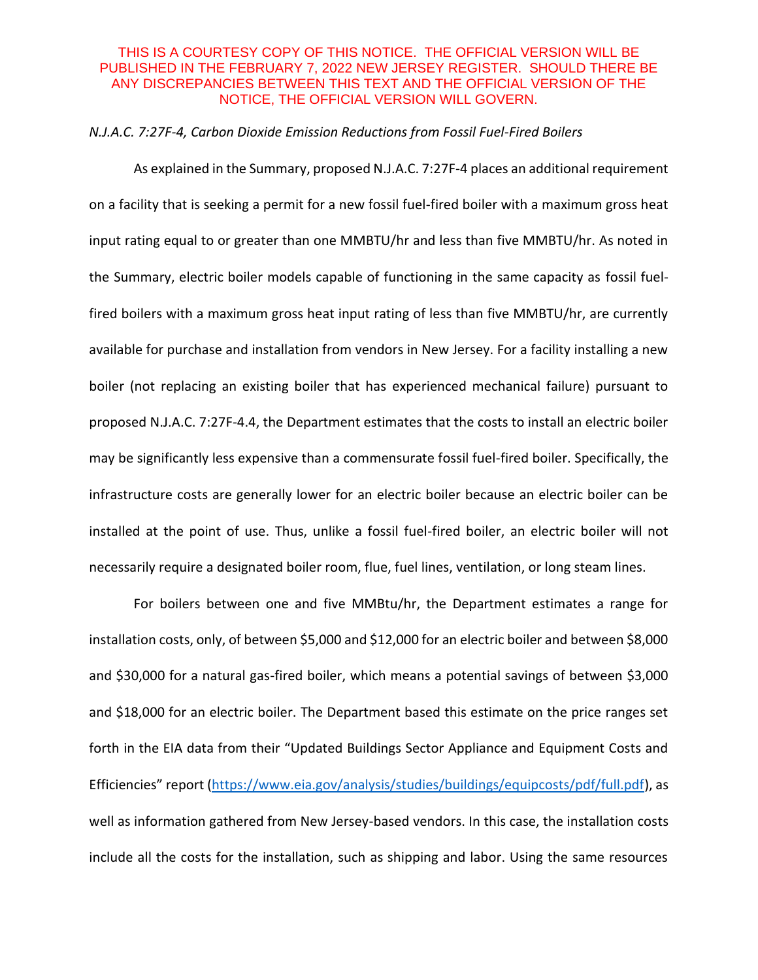#### *N.J.A.C. 7:27F-4, Carbon Dioxide Emission Reductions from Fossil Fuel-Fired Boilers*

As explained in the Summary, proposed N.J.A.C. 7:27F-4 places an additional requirement on a facility that is seeking a permit for a new fossil fuel-fired boiler with a maximum gross heat input rating equal to or greater than one MMBTU/hr and less than five MMBTU/hr. As noted in the Summary, electric boiler models capable of functioning in the same capacity as fossil fuelfired boilers with a maximum gross heat input rating of less than five MMBTU/hr, are currently available for purchase and installation from vendors in New Jersey. For a facility installing a new boiler (not replacing an existing boiler that has experienced mechanical failure) pursuant to proposed N.J.A.C. 7:27F-4.4, the Department estimates that the costs to install an electric boiler may be significantly less expensive than a commensurate fossil fuel-fired boiler. Specifically, the infrastructure costs are generally lower for an electric boiler because an electric boiler can be installed at the point of use. Thus, unlike a fossil fuel-fired boiler, an electric boiler will not necessarily require a designated boiler room, flue, fuel lines, ventilation, or long steam lines.

For boilers between one and five MMBtu/hr, the Department estimates a range for installation costs, only, of between \$5,000 and \$12,000 for an electric boiler and between \$8,000 and \$30,000 for a natural gas-fired boiler, which means a potential savings of between \$3,000 and \$18,000 for an electric boiler. The Department based this estimate on the price ranges set forth in the EIA data from their "Updated Buildings Sector Appliance and Equipment Costs and Efficiencies" report ([https://www.eia.gov/analysis/studies/buildings/equipcosts/pdf/full.pdf\)](https://www.eia.gov/analysis/studies/buildings/equipcosts/pdf/full.pdf), as well as information gathered from New Jersey-based vendors. In this case, the installation costs include all the costs for the installation, such as shipping and labor. Using the same resources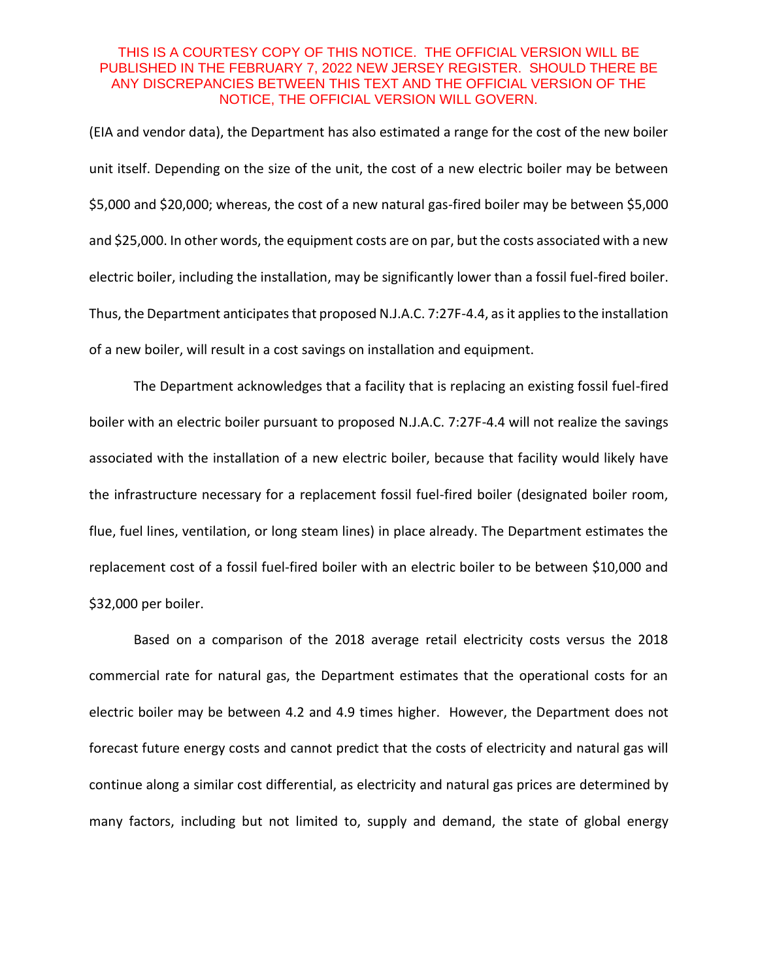(EIA and vendor data), the Department has also estimated a range for the cost of the new boiler unit itself. Depending on the size of the unit, the cost of a new electric boiler may be between \$5,000 and \$20,000; whereas, the cost of a new natural gas-fired boiler may be between \$5,000 and \$25,000. In other words, the equipment costs are on par, but the costs associated with a new electric boiler, including the installation, may be significantly lower than a fossil fuel-fired boiler. Thus, the Department anticipates that proposed N.J.A.C. 7:27F-4.4, as it applies to the installation of a new boiler, will result in a cost savings on installation and equipment.

The Department acknowledges that a facility that is replacing an existing fossil fuel-fired boiler with an electric boiler pursuant to proposed N.J.A.C. 7:27F-4.4 will not realize the savings associated with the installation of a new electric boiler, because that facility would likely have the infrastructure necessary for a replacement fossil fuel-fired boiler (designated boiler room, flue, fuel lines, ventilation, or long steam lines) in place already. The Department estimates the replacement cost of a fossil fuel-fired boiler with an electric boiler to be between \$10,000 and \$32,000 per boiler.

Based on a comparison of the 2018 average retail electricity costs versus the 2018 commercial rate for natural gas, the Department estimates that the operational costs for an electric boiler may be between 4.2 and 4.9 times higher. However, the Department does not forecast future energy costs and cannot predict that the costs of electricity and natural gas will continue along a similar cost differential, as electricity and natural gas prices are determined by many factors, including but not limited to, supply and demand, the state of global energy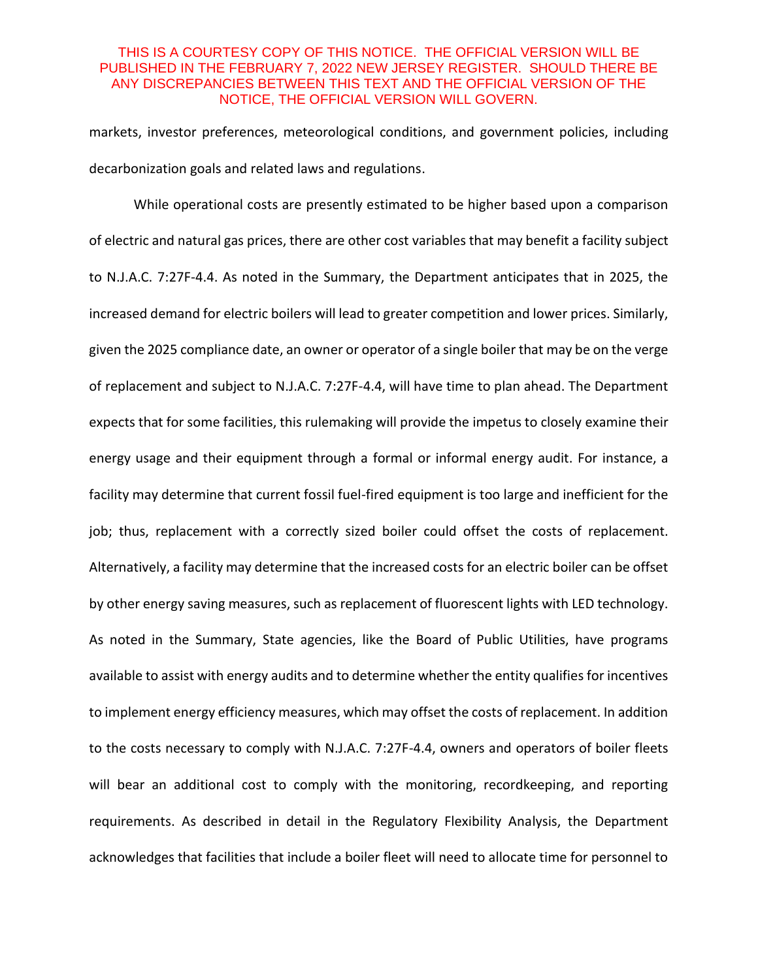markets, investor preferences, meteorological conditions, and government policies, including decarbonization goals and related laws and regulations.

While operational costs are presently estimated to be higher based upon a comparison of electric and natural gas prices, there are other cost variables that may benefit a facility subject to N.J.A.C. 7:27F-4.4. As noted in the Summary, the Department anticipates that in 2025, the increased demand for electric boilers will lead to greater competition and lower prices. Similarly, given the 2025 compliance date, an owner or operator of a single boiler that may be on the verge of replacement and subject to N.J.A.C. 7:27F-4.4, will have time to plan ahead. The Department expects that for some facilities, this rulemaking will provide the impetus to closely examine their energy usage and their equipment through a formal or informal energy audit. For instance, a facility may determine that current fossil fuel-fired equipment is too large and inefficient for the job; thus, replacement with a correctly sized boiler could offset the costs of replacement. Alternatively, a facility may determine that the increased costs for an electric boiler can be offset by other energy saving measures, such as replacement of fluorescent lights with LED technology. As noted in the Summary, State agencies, like the Board of Public Utilities, have programs available to assist with energy audits and to determine whether the entity qualifies for incentives to implement energy efficiency measures, which may offset the costs of replacement. In addition to the costs necessary to comply with N.J.A.C. 7:27F-4.4, owners and operators of boiler fleets will bear an additional cost to comply with the monitoring, recordkeeping, and reporting requirements. As described in detail in the Regulatory Flexibility Analysis, the Department acknowledges that facilities that include a boiler fleet will need to allocate time for personnel to